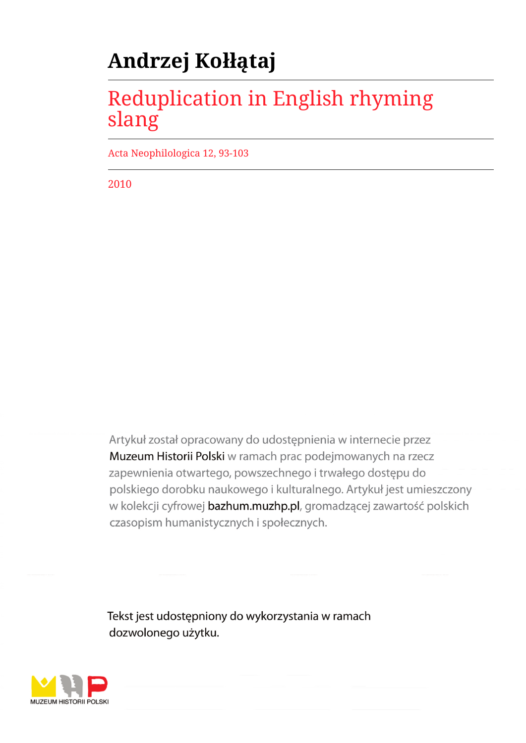# **Andrzej Kołłątaj**

## Reduplication in English rhyming slang

Acta Neophilologica 12, 93-103

2010

Artykuł został opracowany do udostępnienia w internecie przez Muzeum Historii Polski w ramach prac podejmowanych na rzecz zapewnienia otwartego, powszechnego i trwałego dostępu do polskiego dorobku naukowego i kulturalnego. Artykuł jest umieszczony w kolekcji cyfrowej bazhum.muzhp.pl, gromadzącej zawartość polskich czasopism humanistycznych i społecznych.

Tekst jest udostępniony do wykorzystania w ramach dozwolonego użytku.

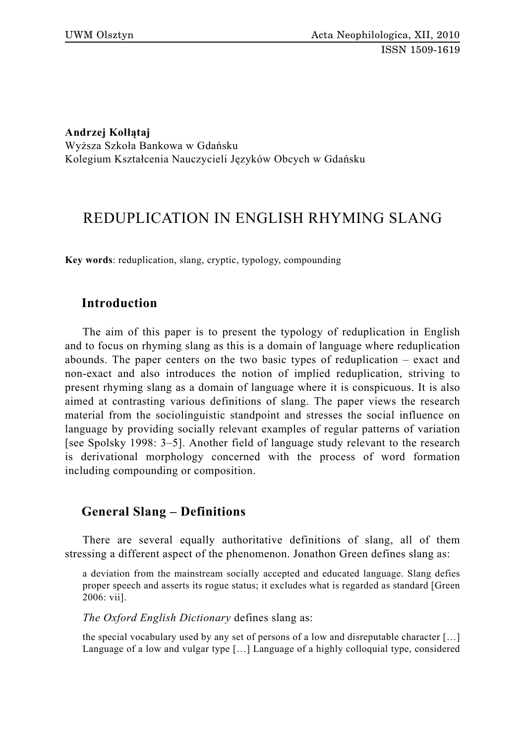## **Andrzej Kołłątaj**

Wyższa Szkoła Bankowa w Gdańsku Kolegium Kształcenia Nauczycieli Języków Obcych w Gdańsku

## REDUPLICATION IN ENGLISH RHYMING SLANG

**Key words**: reduplication, slang, cryptic, typology, compounding

## **Introduction**

The aim of this paper is to present the typology of reduplication in English and to focus on rhyming slang as this is a domain of language where reduplication abounds. The paper centers on the two basic types of reduplication – exact and non-exact and also introduces the notion of implied reduplication, striving to present rhyming slang as a domain of language where it is conspicuous. It is also aimed at contrasting various definitions of slang. The paper views the research material from the sociolinguistic standpoint and stresses the social influence on language by providing socially relevant examples of regular patterns of variation [see Spolsky 1998: 3–5]. Another field of language study relevant to the research is derivational morphology concerned with the process of word formation including compounding or composition.

## **General Slang – Definitions**

There are several equally authoritative definitions of slang, all of them stressing a different aspect of the phenomenon. Jonathon Green defines slang as:

a deviation from the mainstream socially accepted and educated language. Slang defies proper speech and asserts its rogue status; it excludes what is regarded as standard [Green 2006: vii].

*The Oxford English Dictionary* defines slang as:

the special vocabulary used by any set of persons of a low and disreputable character […] Language of a low and vulgar type […] Language of a highly colloquial type, considered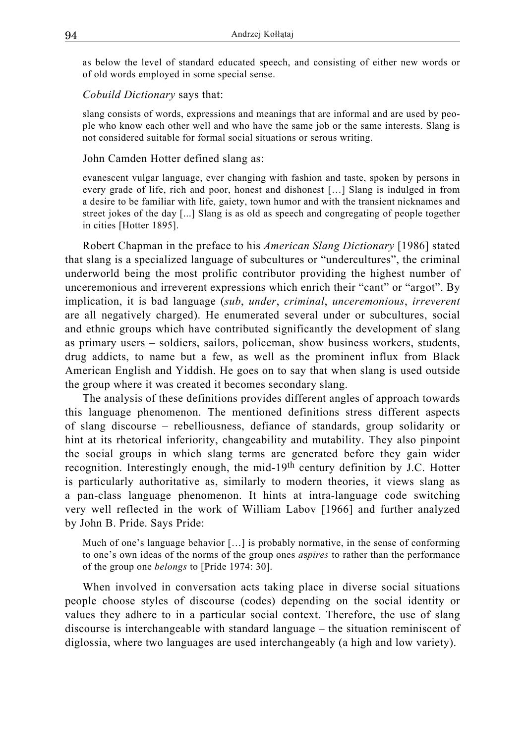as below the level of standard educated speech, and consisting of either new words or of old words employed in some special sense.

#### *Cobuild Dictionary* says that:

slang consists of words, expressions and meanings that are informal and are used by people who know each other well and who have the same job or the same interests. Slang is not considered suitable for formal social situations or serous writing.

#### John Camden Hotter defined slang as:

evanescent vulgar language, ever changing with fashion and taste, spoken by persons in every grade of life, rich and poor, honest and dishonest […] Slang is indulged in from a desire to be familiar with life, gaiety, town humor and with the transient nicknames and street jokes of the day [...] Slang is as old as speech and congregating of people together in cities [Hotter 1895].

Robert Chapman in the preface to his *American Slang Dictionary* [1986] stated that slang is a specialized language of subcultures or "undercultures", the criminal underworld being the most prolific contributor providing the highest number of unceremonious and irreverent expressions which enrich their "cant" or "argot". By implication, it is bad language (*sub*, *under*, *criminal*, *unceremonious*, *irreverent* are all negatively charged). He enumerated several under or subcultures, social and ethnic groups which have contributed significantly the development of slang as primary users – soldiers, sailors, policeman, show business workers, students, drug addicts, to name but a few, as well as the prominent influx from Black American English and Yiddish. He goes on to say that when slang is used outside the group where it was created it becomes secondary slang.

The analysis of these definitions provides different angles of approach towards this language phenomenon. The mentioned definitions stress different aspects of slang discourse – rebelliousness, defiance of standards, group solidarity or hint at its rhetorical inferiority, changeability and mutability. They also pinpoint the social groups in which slang terms are generated before they gain wider recognition. Interestingly enough, the mid-19th century definition by J.C. Hotter is particularly authoritative as, similarly to modern theories, it views slang as a pan-class language phenomenon. It hints at intra-language code switching very well reflected in the work of William Labov [1966] and further analyzed by John B. Pride. Says Pride:

Much of one's language behavior […] is probably normative, in the sense of conforming to one's own ideas of the norms of the group ones *a*s*pires* to rather than the performance of the group one *belongs* to [Pride 1974: 30].

When involved in conversation acts taking place in diverse social situations people choose styles of discourse (codes) depending on the social identity or values they adhere to in a particular social context. Therefore, the use of slang discourse is interchangeable with standard language – the situation reminiscent of diglossia, where two languages are used interchangeably (a high and low variety).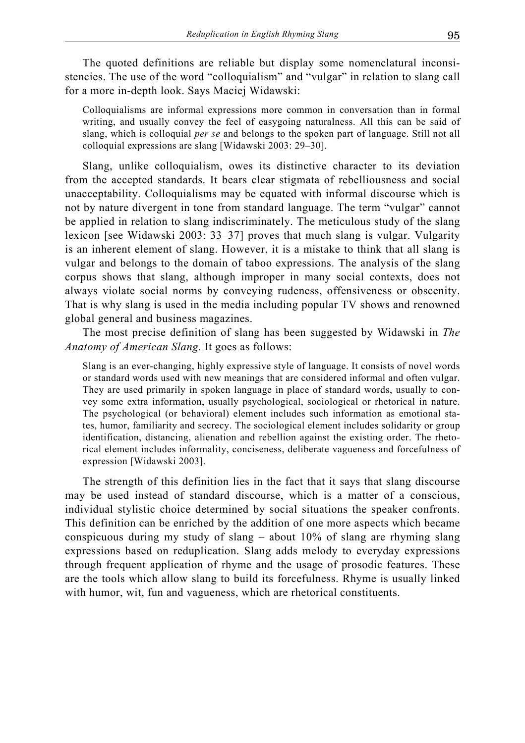The quoted definitions are reliable but display some nomenclatural inconsistencies. The use of the word "colloquialism" and "vulgar" in relation to slang call for a more in-depth look. Says Maciej Widawski:

Colloquialisms are informal expressions more common in conversation than in formal writing, and usually convey the feel of easygoing naturalness. All this can be said of slang, which is colloquial *per se* and belongs to the spoken part of language. Still not all colloquial expressions are slang [Widawski 2003: 29–30].

Slang, unlike colloquialism, owes its distinctive character to its deviation from the accepted standards. It bears clear stigmata of rebelliousness and social unacceptability. Colloquialisms may be equated with informal discourse which is not by nature divergent in tone from standard language. The term "vulgar" cannot be applied in relation to slang indiscriminately. The meticulous study of the slang lexicon [see Widawski 2003: 33–37] proves that much slang is vulgar. Vulgarity is an inherent element of slang. However, it is a mistake to think that all slang is vulgar and belongs to the domain of taboo expressions. The analysis of the slang corpus shows that slang, although improper in many social contexts, does not always violate social norms by conveying rudeness, offensiveness or obscenity. That is why slang is used in the media including popular TV shows and renowned global general and business magazines.

The most precise definition of slang has been suggested by Widawski in *The Anatomy of American Slang.* It goes as follows:

Slang is an ever-changing, highly expressive style of language. It consists of novel words or standard words used with new meanings that are considered informal and often vulgar. They are used primarily in spoken language in place of standard words, usually to convey some extra information, usually psychological, sociological or rhetorical in nature. The psychological (or behavioral) element includes such information as emotional states, humor, familiarity and secrecy. The sociological element includes solidarity or group identification, distancing, alienation and rebellion against the existing order. The rhetorical element includes informality, conciseness, deliberate vagueness and forcefulness of expression [Widawski 2003].

The strength of this definition lies in the fact that it says that slang discourse may be used instead of standard discourse, which is a matter of a conscious, individual stylistic choice determined by social situations the speaker confronts. This definition can be enriched by the addition of one more aspects which became conspicuous during my study of slang – about 10% of slang are rhyming slang expressions based on reduplication. Slang adds melody to everyday expressions through frequent application of rhyme and the usage of prosodic features. These are the tools which allow slang to build its forcefulness. Rhyme is usually linked with humor, wit, fun and vagueness, which are rhetorical constituents.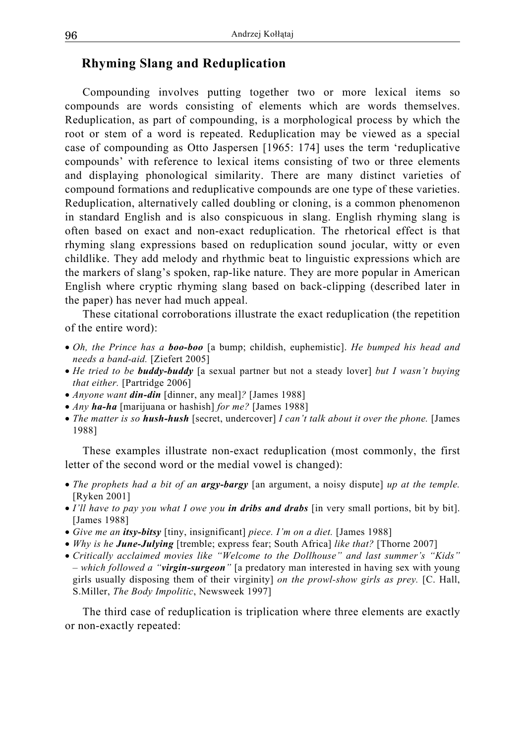## **Rhyming Slang and Reduplication**

Compounding involves putting together two or more lexical items so compounds are words consisting of elements which are words themselves. Reduplication, as part of compounding, is a morphological process by which the root or stem of a word is repeated. Reduplication may be viewed as a special case of compounding as Otto Jaspersen [1965: 174] uses the term 'reduplicative compounds' with reference to lexical items consisting of two or three elements and displaying phonological similarity. There are many distinct varieties of compound formations and reduplicative compounds are one type of these varieties. Reduplication, alternatively called doubling or cloning, is a common phenomenon in standard English and is also conspicuous in slang. English rhyming slang is often based on exact and non-exact reduplication. The rhetorical effect is that rhyming slang expressions based on reduplication sound jocular, witty or even childlike. They add melody and rhythmic beat to linguistic expressions which are the markers of slang's spoken, rap-like nature. They are more popular in American English where cryptic rhyming slang based on back-clipping (described later in the paper) has never had much appeal.

These citational corroborations illustrate the exact reduplication (the repetition of the entire word):

- *Oh, the Prince has a boo-boo* [a bump; childish, euphemistic]. *He bumped his head and needs a band-aid.* [Ziefert 2005]
- *He tried to be buddy-buddy* [a sexual partner but not a steady lover] *but I wasn't buying that either.* [Partridge 2006]
- *Anyone want din-din* [dinner, any meal]*?* [James 1988]
- *Any ha-ha* [marijuana or hashish] *for me?* [James 1988]
- *The matter is so hush-hush* [secret, undercover] *I can't talk about it over the phone.* [James 1988]

These examples illustrate non-exact reduplication (most commonly, the first letter of the second word or the medial vowel is changed):

- *The prophets had a bit of an argy-bargy* [an argument, a noisy dispute] *up at the temple.* [Ryken 2001]
- *I'll have to pay you what I owe you in dribs and drabs* [in very small portions, bit by bit]. [James 1988]
- *Give me an itsy-bitsy* [tiny, insignificant] *piece. I'm on a diet.* [James 1988]
- *Why is he June-Julying* [tremble; express fear; South Africa] *like that?* [Thorne 2007]
- *Critically acclaimed movies like "Welcome to the Dollhouse" and last summer's "Kids" – which followed a "virgin-surgeon"* [a predatory man interested in having sex with young girls usually disposing them of their virginity] *on the prowl-show girls as prey.* [C. Hall, S.Miller, *The Body Impolitic*, Newsweek 1997]

The third case of reduplication is triplication where three elements are exactly or non-exactly repeated: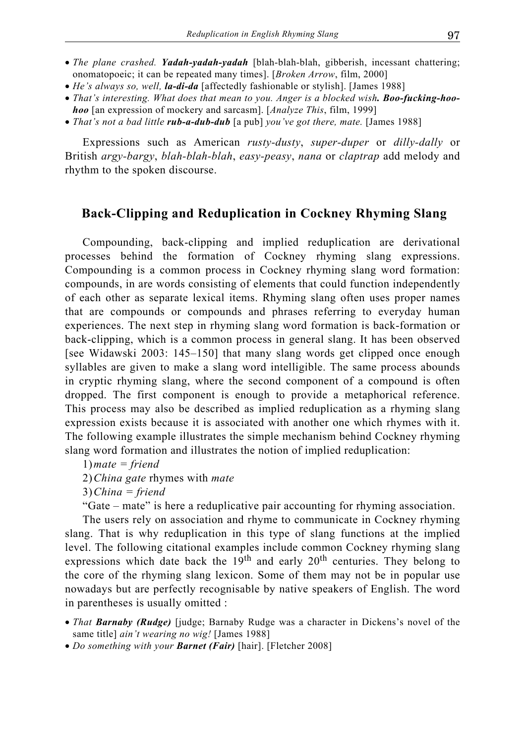- *The plane crashed. Yadah-yadah-yadah* [blah-blah-blah, gibberish, incessant chattering; onomatopoeic; it can be repeated many times]. [*Broken Arrow*, film, 2000]
- *He's always so, well, la-di-da* [affectedly fashionable or stylish]. [James 1988]
- *That's interesting. What does that mean to you. Anger is a blocked wish. Boo-fucking-hoohoo* [an expression of mockery and sarcasm]. [*Analyze This*, film, 1999]
- *That's not a bad little rub-a-dub-dub* [a pub] *you've got there, mate.* [James 1988]

Expressions such as American *rusty-dusty*, *super-duper* or *dilly-dally* or British *argy-bargy*, *blah-blah-blah*, *easy-peasy*, *nana* or *claptrap* add melody and rhythm to the spoken discourse.

## **Back-Clipping and Reduplication in Cockney Rhyming Slang**

Compounding, back-clipping and implied reduplication are derivational processes behind the formation of Cockney rhyming slang expressions. Compounding is a common process in Cockney rhyming slang word formation: compounds, in are words consisting of elements that could function independently of each other as separate lexical items. Rhyming slang often uses proper names that are compounds or compounds and phrases referring to everyday human experiences. The next step in rhyming slang word formation is back-formation or back-clipping, which is a common process in general slang. It has been observed [see Widawski 2003: 145–150] that many slang words get clipped once enough syllables are given to make a slang word intelligible. The same process abounds in cryptic rhyming slang, where the second component of a compound is often dropped. The first component is enough to provide a metaphorical reference. This process may also be described as implied reduplication as a rhyming slang expression exists because it is associated with another one which rhymes with it. The following example illustrates the simple mechanism behind Cockney rhyming slang word formation and illustrates the notion of implied reduplication:

2) *China gate* rhymes with *mate*

3) *China = friend*

"Gate – mate" is here a reduplicative pair accounting for rhyming association.

The users rely on association and rhyme to communicate in Cockney rhyming slang. That is why reduplication in this type of slang functions at the implied level. The following citational examples include common Cockney rhyming slang expressions which date back the 19<sup>th</sup> and early 20<sup>th</sup> centuries. They belong to the core of the rhyming slang lexicon. Some of them may not be in popular use nowadays but are perfectly recognisable by native speakers of English. The word in parentheses is usually omitted :

- *That Barnaby (Rudge)* [judge; Barnaby Rudge was a character in Dickens's novel of the same title] *ain't wearing no wig!* [James 1988]
- *Do something with your Barnet (Fair)* [hair]. [Fletcher 2008]

<sup>1)</sup> *mate = friend*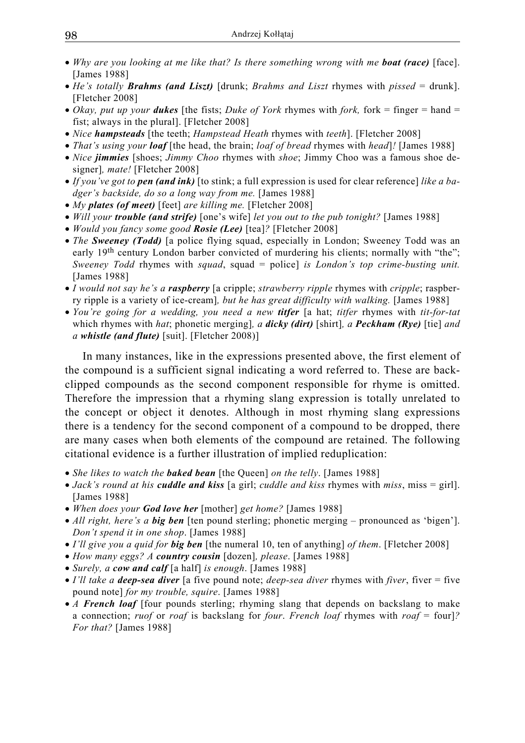- *Why are you looking at me like that? Is there something wrong with me boat (race) [face].* [James 1988]
- *He's totally Brahms (and Liszt)* [drunk; *Brahms and Liszt* rhymes with *pissed* = drunk]. [Fletcher 2008]
- *Okay, put up your <i>dukes* [the fists; *Duke of York rhymes with fork, fork* = finger = hand = fist; always in the plural]. [Fletcher 2008]
- *Nice hampsteads* [the teeth; *Hampstead Heath* rhymes with *teeth*]. [Fletcher 2008]
- *That's using your loaf* [the head, the brain; *loaf of bread* rhymes with *head*]*!* [James 1988]
- *Nice jimmies* [shoes; *Jimmy Choo* rhymes with *shoe*; Jimmy Choo was a famous shoe designer]*, mate!* [Fletcher 2008]
- *If you've got to pen (and ink)* [to stink; a full expression is used for clear reference] *like a badger's backside, do so a long way from me.* [James 1988]
- *My plates (of meet)* [feet] *are killing me.* [Fletcher 2008]
- *Will your trouble (and strife)* [one's wife] *let you out to the pub tonight?* [James 1988]
- *Would you fancy some good Rosie (Lee)* [tea]*?* [Fletcher 2008]
- *The Sweeney (Todd)* [a police flying squad, especially in London; Sweeney Todd was an early 19<sup>th</sup> century London barber convicted of murdering his clients; normally with "the"; *Sweeney Todd* rhymes with *squad*, squad = police] *is London's top crime-busting unit.* [James 1988]
- *I would not say he's a raspberry* [a cripple; *strawberry ripple* rhymes with *cripple*; raspberry ripple is a variety of ice-cream]*, but he has great difficulty with walking.* [James 1988]
- *You're going for a wedding, you need a new titfer* [a hat; *titfer* rhymes with *tit-for-tat*  which rhymes with *hat*; phonetic merging]*, a dicky (dirt)* [shirt]*, a Peckham (Rye)* [tie] *and a whistle (and flute)* [suit]. [Fletcher 2008)]

In many instances, like in the expressions presented above, the first element of the compound is a sufficient signal indicating a word referred to. These are backclipped compounds as the second component responsible for rhyme is omitted. Therefore the impression that a rhyming slang expression is totally unrelated to the concept or object it denotes. Although in most rhyming slang expressions there is a tendency for the second component of a compound to be dropped, there are many cases when both elements of the compound are retained. The following citational evidence is a further illustration of implied reduplication:

- *She likes to watch the baked bean* [the Queen] *on the telly*. [James 1988]
- *Jack's round at his cuddle and kiss* [a girl; *cuddle and kiss* rhymes with *miss*, miss = girl]. [James 1988]
- *When does your God love her* [mother] *get home?* [James 1988]
- *All right, here's a big ben* [ten pound sterling; phonetic merging pronounced as 'bigen']. *Don't spend it in one shop*. [James 1988]
- *I'll give you a quid for big ben* [the numeral 10, ten of anything] *of them*. [Fletcher 2008]
- *How many eggs? A country cousin* [dozen]*, please*. [James 1988]
- *Surely, a cow and calf* [a half] *is enough*. [James 1988]
- *I'll take a deep-sea diver* [a five pound note; *deep-sea diver* rhymes with *fiver*, fiver = five pound note] *for my trouble, squire*. [James 1988]
- *A French loaf* [four pounds sterling; rhyming slang that depends on backslang to make a connection; *ruof* or *roaf* is backslang for *four*. *French loaf* rhymes with *roaf* = four]*? For that?* [James 1988]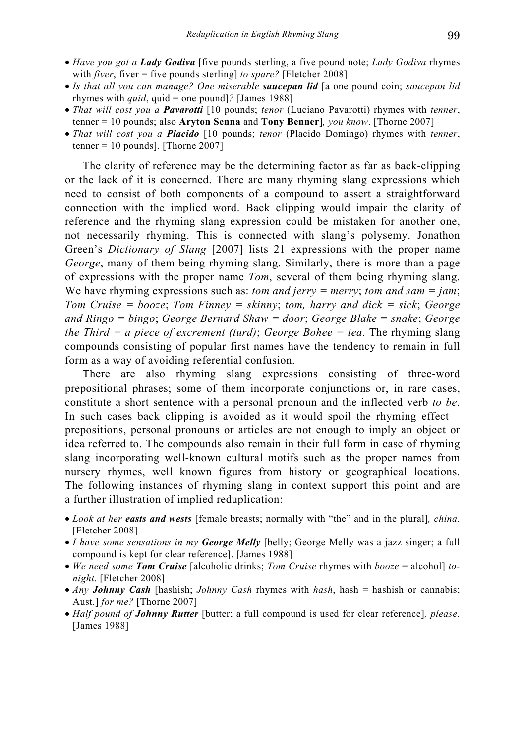- *Have you got a Lady Godiva* [five pounds sterling, a five pound note; *Lady Godiva* rhymes with *fiver*, fiver = five pounds sterling] *to spare?* [Fletcher 2008]
- *Is that all you can manage? One miserable saucepan lid* [a one pound coin; *saucepan lid* rhymes with *quid*, quid = one pound]*?* [James 1988]
- *That will cost you a Pavarotti* [10 pounds; *tenor* (Luciano Pavarotti) rhymes with *tenner*, tenner = 10 pounds; also **Aryton Senna** and **Tony Benner**]*, you know*. [Thorne 2007]
- *That will cost you a Placido* [10 pounds; *tenor* (Placido Domingo) rhymes with *tenner*, tenner =  $10$  pounds]. [Thorne 2007]

The clarity of reference may be the determining factor as far as back-clipping or the lack of it is concerned. There are many rhyming slang expressions which need to consist of both components of a compound to assert a straightforward connection with the implied word. Back clipping would impair the clarity of reference and the rhyming slang expression could be mistaken for another one, not necessarily rhyming. This is connected with slang's polysemy. Jonathon Green's *Dictionary of Slang* [2007] lists 21 expressions with the proper name *George*, many of them being rhyming slang. Similarly, there is more than a page of expressions with the proper name *Tom*, several of them being rhyming slang. We have rhyming expressions such as: *tom and jerry = merry*; *tom and sam = jam*; *Tom Cruise = booze*; *Tom Finney = skinny*; *tom, harry and dick = sick*; *George and Ringo = bingo*; *George Bernard Shaw = door*; *George Blake = snake*; *George the Third = a piece of excrement (turd)*; *George Bohee = tea*. The rhyming slang compounds consisting of popular first names have the tendency to remain in full form as a way of avoiding referential confusion.

There are also rhyming slang expressions consisting of three-word prepositional phrases; some of them incorporate conjunctions or, in rare cases, constitute a short sentence with a personal pronoun and the inflected verb *to be*. In such cases back clipping is avoided as it would spoil the rhyming effect – prepositions, personal pronouns or articles are not enough to imply an object or idea referred to. The compounds also remain in their full form in case of rhyming slang incorporating well-known cultural motifs such as the proper names from nursery rhymes, well known figures from history or geographical locations. The following instances of rhyming slang in context support this point and are a further illustration of implied reduplication:

- *Look at her easts and wests* [female breasts; normally with "the" and in the plural]*, china*. [Fletcher 2008]
- *I have some sensations in my George Melly* [belly; George Melly was a jazz singer; a full compound is kept for clear reference]. [James 1988]
- *We need some Tom Cruise* [alcoholic drinks; *Tom Cruise* rhymes with *booze* = alcohol] *tonight*. [Fletcher 2008]
- *Any Johnny Cash* [hashish; *Johnny Cash* rhymes with *hash*, hash = hashish or cannabis; Aust.] *for me?* [Thorne 2007]
- *Half pound of Johnny Rutter* [butter; a full compound is used for clear reference]*, please*. [James 1988]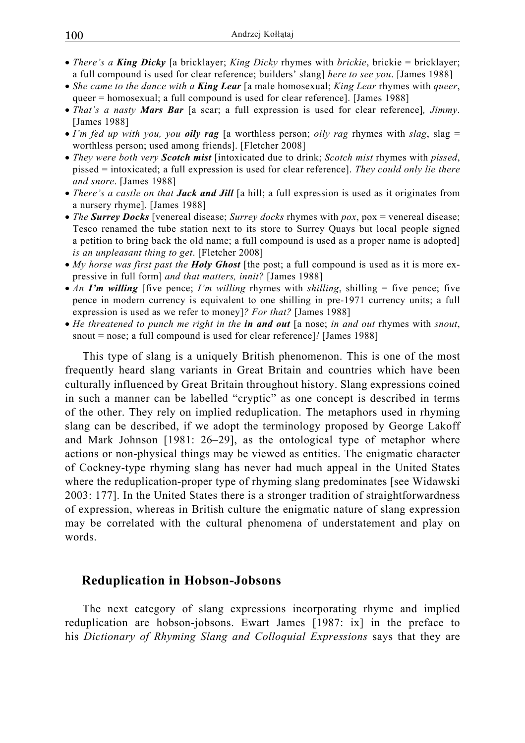- *There's a King Dicky* [a bricklayer; *King Dicky* rhymes with *brickie*, brickie = bricklayer; a full compound is used for clear reference; builders' slang] *here to see you*. [James 1988]
- *She came to the dance with a King Lear* [a male homosexual; *King Lear* rhymes with *queer*, queer = homosexual; a full compound is used for clear reference]. [James 1988]
- *That's a nasty Mars Bar* [a scar; a full expression is used for clear reference]*, Jimmy*. [James 1988]
- *I'm fed up with you, you oily rag* [a worthless person; *oily rag* rhymes with *slag*, slag = worthless person; used among friends]. [Fletcher 2008]
- *They were both very Scotch mist* [intoxicated due to drink; *Scotch mist* rhymes with *pissed*, pissed = intoxicated; a full expression is used for clear reference]. *They could only lie there and snore*. [James 1988]
- *There's a castle on that Jack and Jill* [a hill; a full expression is used as it originates from a nursery rhyme]. [James 1988]
- *The Surrey Docks* [venereal disease; *Surrey docks* rhymes with *pox*, pox = venereal disease; Tesco renamed the tube station next to its store to Surrey Quays but local people signed a petition to bring back the old name; a full compound is used as a proper name is adopted] *is an unpleasant thing to get*. [Fletcher 2008]
- *My horse was first past the Holy Ghost* [the post; a full compound is used as it is more expressive in full form] *and that matters, innit?* [James 1988]
- *An I'm willing* [five pence; *I'm willing* rhymes with *shilling*, shilling = five pence; five pence in modern currency is equivalent to one shilling in pre-1971 currency units; a full expression is used as we refer to money]*? For that?* [James 1988]
- *He threatened to punch me right in the in and out* [a nose; *in and out* rhymes with *snout*, snout = nose; a full compound is used for clear reference]*!* [James 1988]

This type of slang is a uniquely British phenomenon. This is one of the most frequently heard slang variants in Great Britain and countries which have been culturally influenced by Great Britain throughout history. Slang expressions coined in such a manner can be labelled "cryptic" as one concept is described in terms of the other. They rely on implied reduplication. The metaphors used in rhyming slang can be described, if we adopt the terminology proposed by George Lakoff and Mark Johnson [1981: 26–29], as the ontological type of metaphor where actions or non-physical things may be viewed as entities. The enigmatic character of Cockney-type rhyming slang has never had much appeal in the United States where the reduplication-proper type of rhyming slang predominates [see Widawski 2003: 177]. In the United States there is a stronger tradition of straightforwardness of expression, whereas in British culture the enigmatic nature of slang expression may be correlated with the cultural phenomena of understatement and play on words.

## **Reduplication in Hobson-Jobsons**

The next category of slang expressions incorporating rhyme and implied reduplication are hobson-jobsons. Ewart James [1987: ix] in the preface to his *Dictionary of Rhyming Slang and Colloquial Expressions* says that they are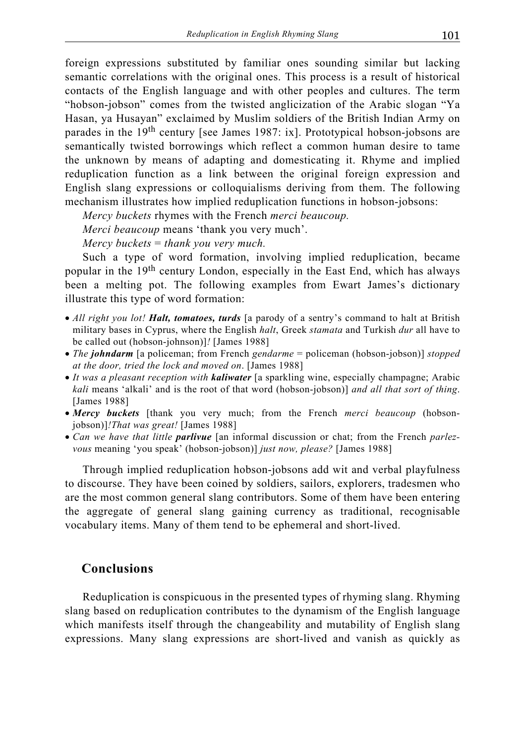foreign expressions substituted by familiar ones sounding similar but lacking semantic correlations with the original ones. This process is a result of historical contacts of the English language and with other peoples and cultures. The term "hobson-jobson" comes from the twisted anglicization of the Arabic slogan "Ya Hasan, ya Husayan" exclaimed by Muslim soldiers of the British Indian Army on parades in the 19th century [see James 1987: ix]. Prototypical hobson-jobsons are semantically twisted borrowings which reflect a common human desire to tame the unknown by means of adapting and domesticating it. Rhyme and implied reduplication function as a link between the original foreign expression and English slang expressions or colloquialisms deriving from them. The following mechanism illustrates how implied reduplication functions in hobson-jobsons:

*Mercy buckets* rhymes with the French *merci beaucoup.*

*Merci beaucoup* means 'thank you very much'.

*Mercy buckets* = *thank you very much.*

Such a type of word formation, involving implied reduplication, became popular in the 19th century London, especially in the East End, which has always been a melting pot. The following examples from Ewart James's dictionary illustrate this type of word formation:

- *All right you lot! Halt, tomatoes, turds* [a parody of a sentry's command to halt at British military bases in Cyprus, where the English *halt*, Greek *stamata* and Turkish *dur* all have to be called out (hobson-johnson)]*!* [James 1988]
- *The johndarm* [a policeman; from French *gendarme* = policeman (hobson-jobson)] *stopped at the door, tried the lock and moved on*. [James 1988]
- *It was a pleasant reception with kaliwater* [a sparkling wine, especially champagne; Arabic *kali* means 'alkali' and is the root of that word (hobson-jobson)] *and all that sort of thing*. [James 1988]
- *Mercy buckets* [thank you very much; from the French *merci beaucoup* (hobsonjobson)]*!That was great!* [James 1988]
- *Can we have that little parlivue* [an informal discussion or chat; from the French *parlezvous* meaning 'you speak' (hobson-jobson)] *just now, please?* [James 1988]

Through implied reduplication hobson-jobsons add wit and verbal playfulness to discourse. They have been coined by soldiers, sailors, explorers, tradesmen who are the most common general slang contributors. Some of them have been entering the aggregate of general slang gaining currency as traditional, recognisable vocabulary items. Many of them tend to be ephemeral and short-lived.

### **Conclusions**

Reduplication is conspicuous in the presented types of rhyming slang. Rhyming slang based on reduplication contributes to the dynamism of the English language which manifests itself through the changeability and mutability of English slang expressions. Many slang expressions are short-lived and vanish as quickly as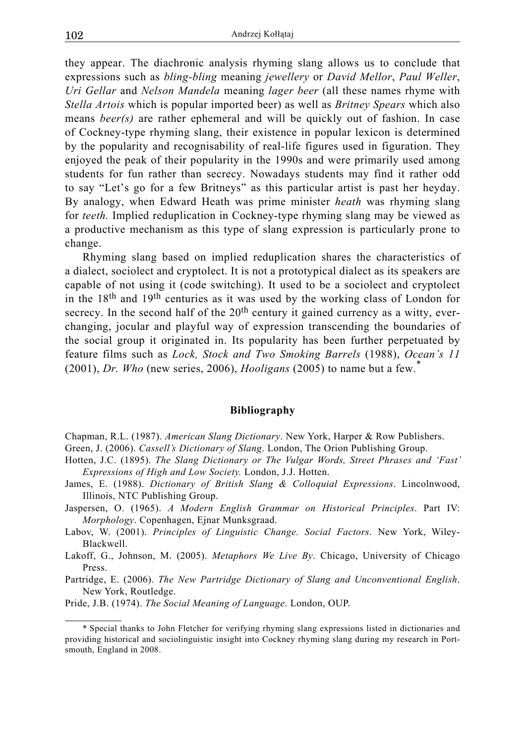they appear. The diachronic analysis rhyming slang allows us to conclude that expressions such as *bling-bling* meaning *jewellery* or *David Mellor*, *Paul Weller*, *Uri Gellar* and *Nelson Mandela* meaning *lager beer* (all these names rhyme with *Stella Artois* which is popular imported beer) as well as *Britney Spears* which also means *beer(s)* are rather ephemeral and will be quickly out of fashion. In case of Cockney-type rhyming slang, their existence in popular lexicon is determined by the popularity and recognisability of real-life figures used in figuration. They enjoyed the peak of their popularity in the 1990s and were primarily used among students for fun rather than secrecy. Nowadays students may find it rather odd to say "Let's go for a few Britneys" as this particular artist is past her heyday. By analogy, when Edward Heath was prime minister *heath* was rhyming slang for *teeth.* Implied reduplication in Cockney-type rhyming slang may be viewed as a productive mechanism as this type of slang expression is particularly prone to change.

Rhyming slang based on implied reduplication shares the characteristics of a dialect, sociolect and cryptolect. It is not a prototypical dialect as its speakers are capable of not using it (code switching). It used to be a sociolect and cryptolect in the 18th and 19th centuries as it was used by the working class of London for secrecy. In the second half of the  $20<sup>th</sup>$  century it gained currency as a witty, everchanging, jocular and playful way of expression transcending the boundaries of the social group it originated in. Its popularity has been further perpetuated by feature films such as *Lock, Stock and Two Smoking Barrels* (1988), *Ocean's 11* (2001), *Dr. Who* (new series, 2006), *Hooligans* (2005) to name but a few.\*

#### **Bibliography**

Chapman, R.L. (1987). *American Slang Dictionary*. New York, Harper & Row Publishers.

Green, J. (2006). *Cassell's Dictionary of Slang*. London, The Orion Publishing Group.

- Hotten, J.C. (1895). *The Slang Dictionary or The Vulgar Words, Street Phrases and 'Fast' Expressions of High and Low Society.* London, J.J. Hotten.
- James, E. (1988). *Dictionary of British Slang & Colloquial Expressions*. Lincolnwood, Illinois, NTC Publishing Group.
- Jaspersen, O. (1965). *A Modern English Grammar on Historical Principles*. Part IV: *Morphology*. Copenhagen, Ejnar Munksgraad.
- Labov, W. (2001). *Principles of Linguistic Change. Social Factors*. New York, Wiley-Blackwell.
- Lakoff, G., Johnson, M. (2005). *Metaphors We Live By*. Chicago, University of Chicago Press.

Partridge, E. (2006). *The New Partridge Dictionary of Slang and Unconventional English*. New York, Routledge.

Pride, J.B. (1974). *The Social Meaning of Language*. London, OUP.

<sup>\*</sup> Special thanks to John Fletcher for verifying rhyming slang expressions listed in dictionaries and providing historical and sociolinguistic insight into Cockney rhyming slang during my research in Portsmouth, England in 2008.